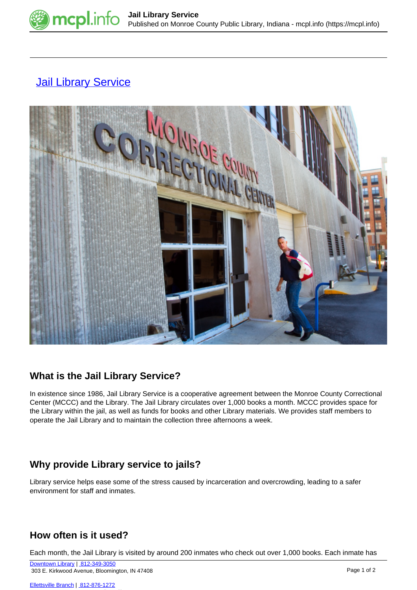

# **[Jail Library Service](https://mcpl.info/jail)**



### **What is the Jail Library Service?**

In existence since 1986, Jail Library Service is a cooperative agreement between the Monroe County Correctional Center (MCCC) and the Library. The Jail Library circulates over 1,000 books a month. MCCC provides space for the Library within the jail, as well as funds for books and other Library materials. We provides staff members to operate the Jail Library and to maintain the collection three afternoons a week.

## **Why provide Library service to jails?**

Library service helps ease some of the stress caused by incarceration and overcrowding, leading to a safer environment for staff and inmates.

### **How often is it used?**

Each month, the Jail Library is visited by around 200 inmates who check out over 1,000 books. Each inmate has